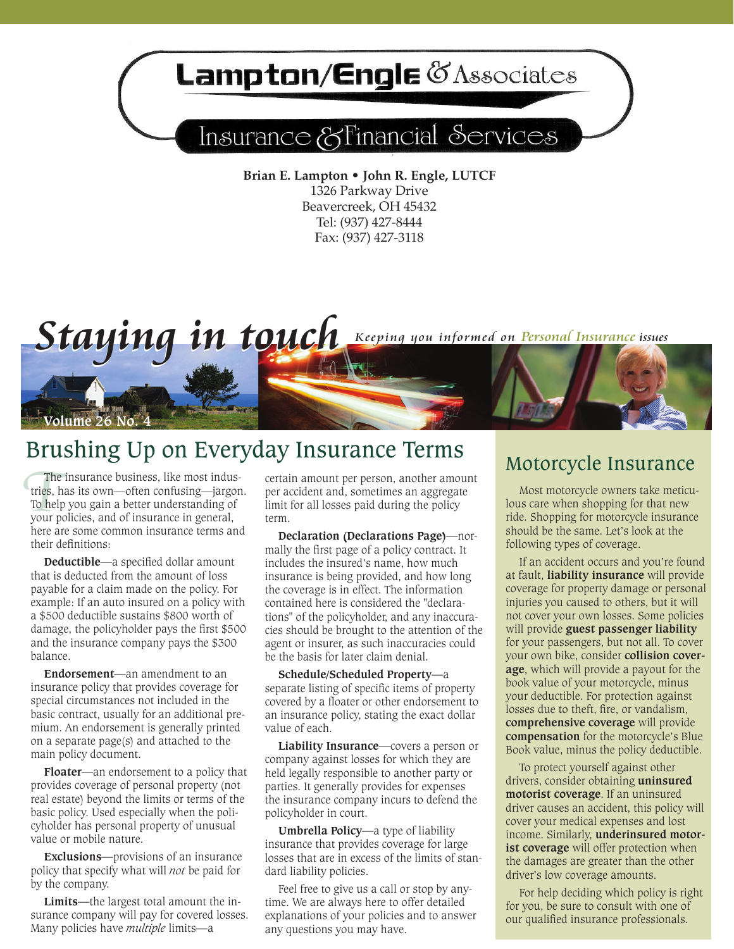# Lampton/Engle & Associates

## Insurance & Financial Services

**Brian E. Lampton • John R. Engle, LUTCF** 1326 Parkway Drive Beavercreek, OH 45432 Tel: (937) 427-8444 Fax: (937) 427-3118

Staying in touch Keeping you informed on Personal Insurance issues



The insurance business, like most indus-<br>
To help you gain a better understanding of<br>
your policies, and of insurance in general,<br>
here acceler the same and sometimes an aggregate<br>
your policies, and of insurance in genera The insurance business, like most industries, has its own—often confusing—jargon. To help you gain a better understanding of your policies, and of insurance in general, here are some common insurance terms and their definitions:

**Valume 26 No. 4** 

**Deductible—**a specified dollar amount that is deducted from the amount of loss payable for a claim made on the policy. For example: If an auto insured on a policy with a \$500 deductible sustains \$800 worth of damage, the policyholder pays the first \$500 and the insurance company pays the \$300 balance.

**Endorsement—**an amendment to an insurance policy that provides coverage for special circumstances not included in the basic contract, usually for an additional premium. An endorsement is generally printed on a separate page(s) and attached to the main policy document.

**Floater—**an endorsement to a policy that provides coverage of personal property (not real estate) beyond the limits or terms of the basic policy. Used especially when the policyholder has personal property of unusual value or mobile nature.

**Exclusions—**provisions of an insurance policy that specify what will *not* be paid for by the company.

**Limits—**the largest total amount the insurance company will pay for covered losses. Many policies have *multiple* limits**—**a

certain amount per person, another amount per accident and, sometimes an aggregate limit for all losses paid during the policy term.

**Declaration (Declarations Page)—**normally the first page of a policy contract. It includes the insured's name, how much insurance is being provided, and how long the coverage is in effect. The information contained here is considered the "declarations" of the policyholder, and any inaccuracies should be brought to the attention of the agent or insurer, as such inaccuracies could be the basis for later claim denial.

**Schedule/Scheduled Property—**a separate listing of specific items of property covered by a floater or other endorsement to an insurance policy, stating the exact dollar value of each.

**Liability Insurance—**covers a person or company against losses for which they are held legally responsible to another party or parties. It generally provides for expenses the insurance company incurs to defend the policyholder in court.

**Umbrella Policy—**a type of liability insurance that provides coverage for large losses that are in excess of the limits of standard liability policies.

Feel free to give us a call or stop by anytime. We are always here to offer detailed explanations of your policies and to answer any questions you may have.

lous care when shopping for that new ride. Shopping for motorcycle insurance should be the same. Let's look at the following types of coverage.

If an accident occurs and you're found at fault, **liability insurance** will provide coverage for property damage or personal injuries you caused to others, but it will not cover your own losses. Some policies will provide **guest passenger liability** for your passengers, but not all. To cover your own bike, consider **collision coverage**, which will provide a payout for the book value of your motorcycle, minus your deductible. For protection against losses due to theft, fire, or vandalism, **comprehensive coverage** will provide **compensation** for the motorcycle's Blue Book value, minus the policy deductible.

To protect yourself against other drivers, consider obtaining **uninsured motorist coverage**. If an uninsured driver causes an accident, this policy will cover your medical expenses and lost income. Similarly, **underinsured motorist coverage** will offer protection when the damages are greater than the other driver's low coverage amounts.

For help deciding which policy is right for you, be sure to consult with one of our qualified insurance professionals.